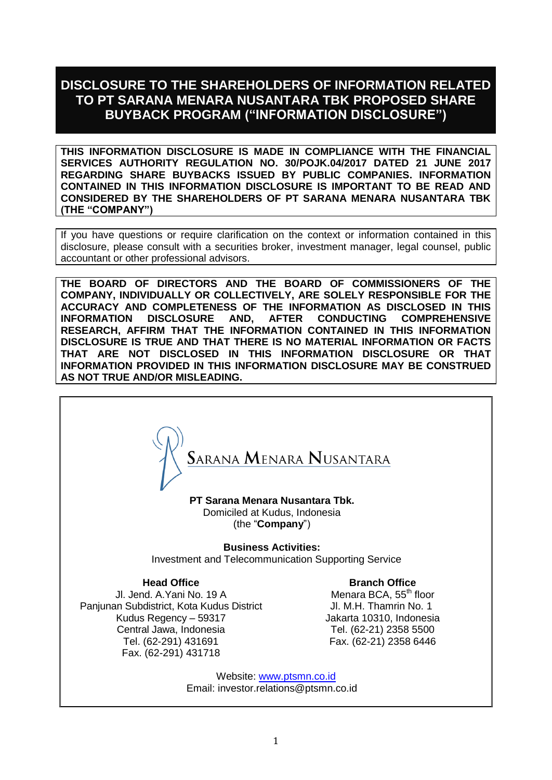# **DISCLOSURE TO THE SHAREHOLDERS OF INFORMATION RELATED TO PT SARANA MENARA NUSANTARA TBK PROPOSED SHARE BUYBACK PROGRAM ("INFORMATION DISCLOSURE")**

**THIS INFORMATION DISCLOSURE IS MADE IN COMPLIANCE WITH THE FINANCIAL SERVICES AUTHORITY REGULATION NO. 30/POJK.04/2017 DATED 21 JUNE 2017 REGARDING SHARE BUYBACKS ISSUED BY PUBLIC COMPANIES. INFORMATION CONTAINED IN THIS INFORMATION DISCLOSURE IS IMPORTANT TO BE READ AND CONSIDERED BY THE SHAREHOLDERS OF PT SARANA MENARA NUSANTARA TBK (THE "COMPANY")**

If you have questions or require clarification on the context or information contained in this disclosure, please consult with a securities broker, investment manager, legal counsel, public accountant or other professional advisors.

**THE BOARD OF DIRECTORS AND THE BOARD OF COMMISSIONERS OF THE COMPANY, INDIVIDUALLY OR COLLECTIVELY, ARE SOLELY RESPONSIBLE FOR THE ACCURACY AND COMPLETENESS OF THE INFORMATION AS DISCLOSED IN THIS INFORMATION DISCLOSURE AND, AFTER CONDUCTING COMPREHENSIVE RESEARCH, AFFIRM THAT THE INFORMATION CONTAINED IN THIS INFORMATION DISCLOSURE IS TRUE AND THAT THERE IS NO MATERIAL INFORMATION OR FACTS THAT ARE NOT DISCLOSED IN THIS INFORMATION DISCLOSURE OR THAT INFORMATION PROVIDED IN THIS INFORMATION DISCLOSURE MAY BE CONSTRUED AS NOT TRUE AND/OR MISLEADING.**



**PT Sarana Menara Nusantara Tbk.** Domiciled at Kudus, Indonesia (the "**Company**")

**Business Activities:**

Investment and Telecommunication Supporting Service

**Head Office** 

Jl. Jend. A.Yani No. 19 A Panjunan Subdistrict, Kota Kudus District Kudus Regency – 59317 Central Jawa, Indonesia Tel. (62-291) 431691 Fax. (62-291) 431718

**Branch Office** Menara BCA, 55<sup>th</sup> floor Jl. M.H. Thamrin No. 1 Jakarta 10310, Indonesia Tel. (62-21) 2358 5500

Fax. (62-21) 2358 6446

Website: [www.ptsmn.co.id](http://www.ptsmn.co.id/) Email: [investor.relations@ptsmn.co.id](mailto:investor.relations@ptmsn.co.id)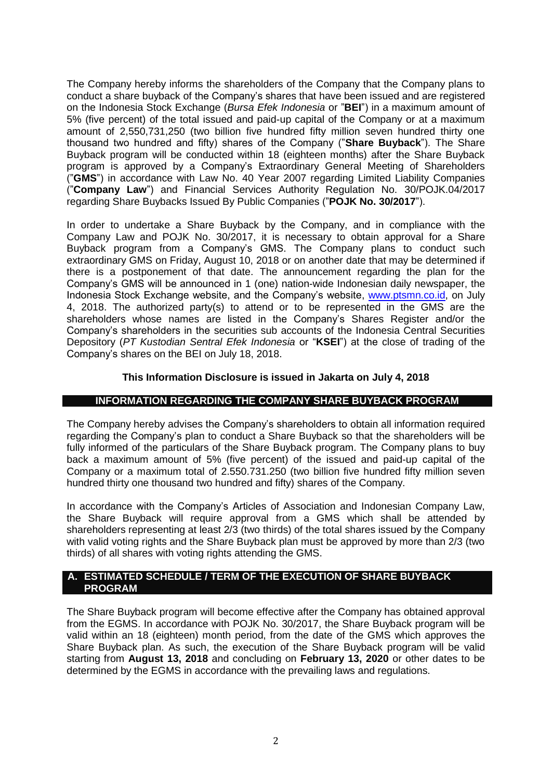The Company hereby informs the shareholders of the Company that the Company plans to conduct a share buyback of the Company's shares that have been issued and are registered on the Indonesia Stock Exchange (*Bursa Efek Indonesia* or "**BEI**") in a maximum amount of 5% (five percent) of the total issued and paid-up capital of the Company or at a maximum amount of 2,550,731,250 (two billion five hundred fifty million seven hundred thirty one thousand two hundred and fifty) shares of the Company ("**Share Buyback**"). The Share Buyback program will be conducted within 18 (eighteen months) after the Share Buyback program is approved by a Company's Extraordinary General Meeting of Shareholders ("**GMS**") in accordance with Law No. 40 Year 2007 regarding Limited Liability Companies ("**Company Law**") and Financial Services Authority Regulation No. 30/POJK.04/2017 regarding Share Buybacks Issued By Public Companies ("**POJK No. 30/2017**").

In order to undertake a Share Buyback by the Company, and in compliance with the Company Law and POJK No. 30/2017, it is necessary to obtain approval for a Share Buyback program from a Company's GMS. The Company plans to conduct such extraordinary GMS on Friday, August 10, 2018 or on another date that may be determined if there is a postponement of that date. The announcement regarding the plan for the Company's GMS will be announced in 1 (one) nation-wide Indonesian daily newspaper, the Indonesia Stock Exchange website, and the Company's website, [www.ptsmn.co.id,](http://www.ptsmn.co.id/) on July 4, 2018. The authorized party(s) to attend or to be represented in the GMS are the shareholders whose names are listed in the Company's Shares Register and/or the Company's shareholders in the securities sub accounts of the Indonesia Central Securities Depository (*PT Kustodian Sentral Efek Indonesia* or "**KSEI**") at the close of trading of the Company's shares on the BEI on July 18, 2018.

# **This Information Disclosure is issued in Jakarta on July 4, 2018**

# **INFORMATION REGARDING THE COMPANY SHARE BUYBACK PROGRAM**

The Company hereby advises the Company's shareholders to obtain all information required regarding the Company's plan to conduct a Share Buyback so that the shareholders will be fully informed of the particulars of the Share Buyback program. The Company plans to buy back a maximum amount of 5% (five percent) of the issued and paid-up capital of the Company or a maximum total of 2.550.731.250 (two billion five hundred fifty million seven hundred thirty one thousand two hundred and fifty) shares of the Company.

In accordance with the Company's Articles of Association and Indonesian Company Law, the Share Buyback will require approval from a GMS which shall be attended by shareholders representing at least 2/3 (two thirds) of the total shares issued by the Company with valid voting rights and the Share Buyback plan must be approved by more than 2/3 (two thirds) of all shares with voting rights attending the GMS.

# **A. ESTIMATED SCHEDULE / TERM OF THE EXECUTION OF SHARE BUYBACK PROGRAM**

The Share Buyback program will become effective after the Company has obtained approval from the EGMS. In accordance with POJK No. 30/2017, the Share Buyback program will be valid within an 18 (eighteen) month period, from the date of the GMS which approves the Share Buyback plan. As such, the execution of the Share Buyback program will be valid starting from **August 13, 2018** and concluding on **February 13, 2020** or other dates to be determined by the EGMS in accordance with the prevailing laws and regulations.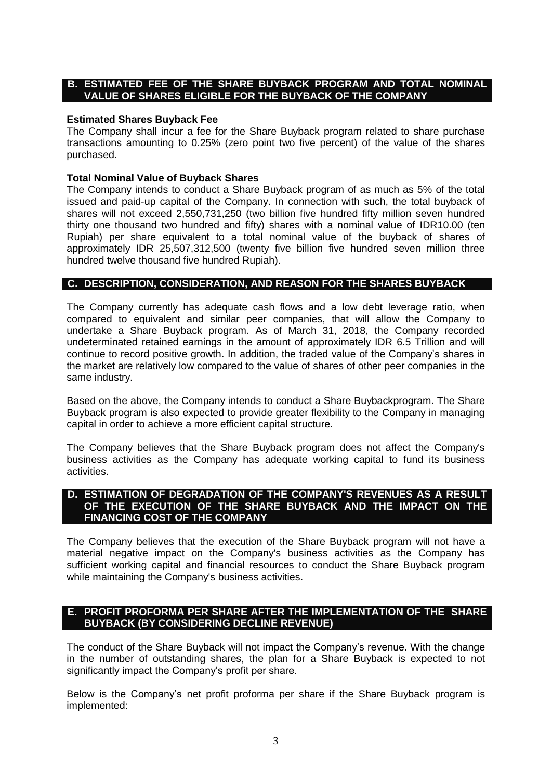## **B. ESTIMATED FEE OF THE SHARE BUYBACK PROGRAM AND TOTAL NOMINAL VALUE OF SHARES ELIGIBLE FOR THE BUYBACK OF THE COMPANY**

#### **Estimated Shares Buyback Fee**

The Company shall incur a fee for the Share Buyback program related to share purchase transactions amounting to 0.25% (zero point two five percent) of the value of the shares purchased.

# **Total Nominal Value of Buyback Shares**

The Company intends to conduct a Share Buyback program of as much as 5% of the total issued and paid-up capital of the Company. In connection with such, the total buyback of shares will not exceed 2,550,731,250 (two billion five hundred fifty million seven hundred thirty one thousand two hundred and fifty) shares with a nominal value of IDR10.00 (ten Rupiah) per share equivalent to a total nominal value of the buyback of shares of approximately IDR 25,507,312,500 (twenty five billion five hundred seven million three hundred twelve thousand five hundred Rupiah).

### **C. DESCRIPTION, CONSIDERATION, AND REASON FOR THE SHARES BUYBACK**

The Company currently has adequate cash flows and a low debt leverage ratio, when compared to equivalent and similar peer companies, that will allow the Company to undertake a Share Buyback program. As of March 31, 2018, the Company recorded undeterminated retained earnings in the amount of approximately IDR 6.5 Trillion and will continue to record positive growth. In addition, the traded value of the Company's shares in the market are relatively low compared to the value of shares of other peer companies in the same industry.

Based on the above, the Company intends to conduct a Share Buybackprogram. The Share Buyback program is also expected to provide greater flexibility to the Company in managing capital in order to achieve a more efficient capital structure.

The Company believes that the Share Buyback program does not affect the Company's business activities as the Company has adequate working capital to fund its business activities.

#### **D. ESTIMATION OF DEGRADATION OF THE COMPANY'S REVENUES AS A RESULT OF THE EXECUTION OF THE SHARE BUYBACK AND THE IMPACT ON THE FINANCING COST OF THE COMPANY**

The Company believes that the execution of the Share Buyback program will not have a material negative impact on the Company's business activities as the Company has sufficient working capital and financial resources to conduct the Share Buyback program while maintaining the Company's business activities.

# **E. PROFIT PROFORMA PER SHARE AFTER THE IMPLEMENTATION OF THE SHARE BUYBACK (BY CONSIDERING DECLINE REVENUE)**

The conduct of the Share Buyback will not impact the Company's revenue. With the change in the number of outstanding shares, the plan for a Share Buyback is expected to not significantly impact the Company's profit per share.

Below is the Company's net profit proforma per share if the Share Buyback program is implemented: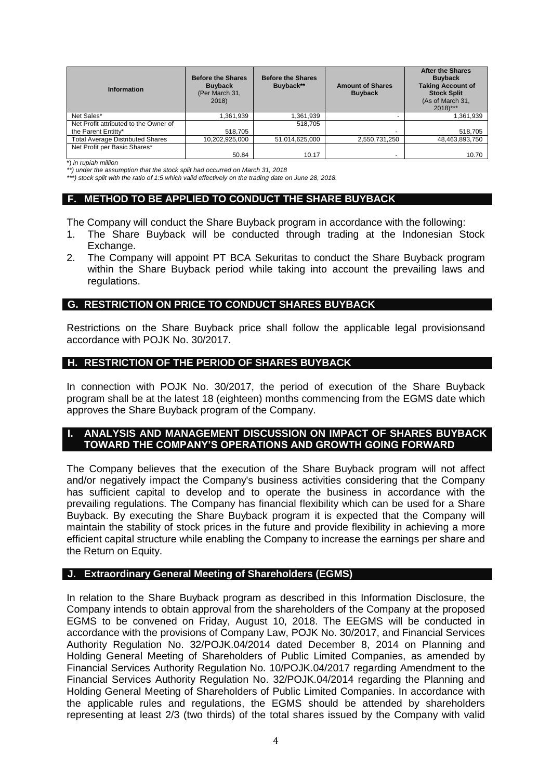| <b>Information</b>                      | <b>Before the Shares</b><br><b>Buyback</b><br>(Per March 31,<br>2018) | <b>Before the Shares</b><br>Buyback** | <b>Amount of Shares</b><br><b>Buyback</b> | <b>After the Shares</b><br><b>Buvback</b><br><b>Taking Account of</b><br><b>Stock Split</b><br>(As of March 31,<br>$2018$ <sup>***</sup> |
|-----------------------------------------|-----------------------------------------------------------------------|---------------------------------------|-------------------------------------------|------------------------------------------------------------------------------------------------------------------------------------------|
| Net Sales*                              | .361,939                                                              | 1,361,939                             |                                           | 1,361,939                                                                                                                                |
| Net Profit attributed to the Owner of   |                                                                       | 518.705                               |                                           |                                                                                                                                          |
| the Parent Entitty*                     | 518.705                                                               |                                       | $\overline{\phantom{0}}$                  | 518,705                                                                                                                                  |
| <b>Total Average Distributed Shares</b> | 10,202,925,000                                                        | 51,014,625,000                        | 2,550,731,250                             | 48,463,893,750                                                                                                                           |
| Net Profit per Basic Shares*            |                                                                       |                                       |                                           |                                                                                                                                          |
|                                         | 50.84                                                                 | 10.17                                 | $\overline{\phantom{0}}$                  | 10.70                                                                                                                                    |

\*) *in rupiah million*

*\*\*) under the assumption that the stock split had occurred on March 31, 2018*

*\*\*\*) stock split with the ratio of 1:5 which valid effectively on the trading date on June 28, 2018.*

#### **F. METHOD TO BE APPLIED TO CONDUCT THE SHARE BUYBACK**

The Company will conduct the Share Buyback program in accordance with the following:

- 1. The Share Buyback will be conducted through trading at the Indonesian Stock Exchange.
- 2. The Company will appoint PT BCA Sekuritas to conduct the Share Buyback program within the Share Buyback period while taking into account the prevailing laws and regulations.

#### **G. RESTRICTION ON PRICE TO CONDUCT SHARES BUYBACK**

Restrictions on the Share Buyback price shall follow the applicable legal provisionsand accordance with POJK No. 30/2017.

#### **H. RESTRICTION OF THE PERIOD OF SHARES BUYBACK**

In connection with POJK No. 30/2017, the period of execution of the Share Buyback program shall be at the latest 18 (eighteen) months commencing from the EGMS date which approves the Share Buyback program of the Company.

### **I. ANALYSIS AND MANAGEMENT DISCUSSION ON IMPACT OF SHARES BUYBACK TOWARD THE COMPANY'S OPERATIONS AND GROWTH GOING FORWARD**

The Company believes that the execution of the Share Buyback program will not affect and/or negatively impact the Company's business activities considering that the Company has sufficient capital to develop and to operate the business in accordance with the prevailing regulations. The Company has financial flexibility which can be used for a Share Buyback. By executing the Share Buyback program it is expected that the Company will maintain the stability of stock prices in the future and provide flexibility in achieving a more efficient capital structure while enabling the Company to increase the earnings per share and the Return on Equity.

#### **J. Extraordinary General Meeting of Shareholders (EGMS)**

In relation to the Share Buyback program as described in this Information Disclosure, the Company intends to obtain approval from the shareholders of the Company at the proposed EGMS to be convened on Friday, August 10, 2018. The EEGMS will be conducted in accordance with the provisions of Company Law, POJK No. 30/2017, and Financial Services Authority Regulation No. 32/POJK.04/2014 dated December 8, 2014 on Planning and Holding General Meeting of Shareholders of Public Limited Companies, as amended by Financial Services Authority Regulation No. 10/POJK.04/2017 regarding Amendment to the Financial Services Authority Regulation No. 32/POJK.04/2014 regarding the Planning and Holding General Meeting of Shareholders of Public Limited Companies. In accordance with the applicable rules and regulations, the EGMS should be attended by shareholders representing at least 2/3 (two thirds) of the total shares issued by the Company with valid